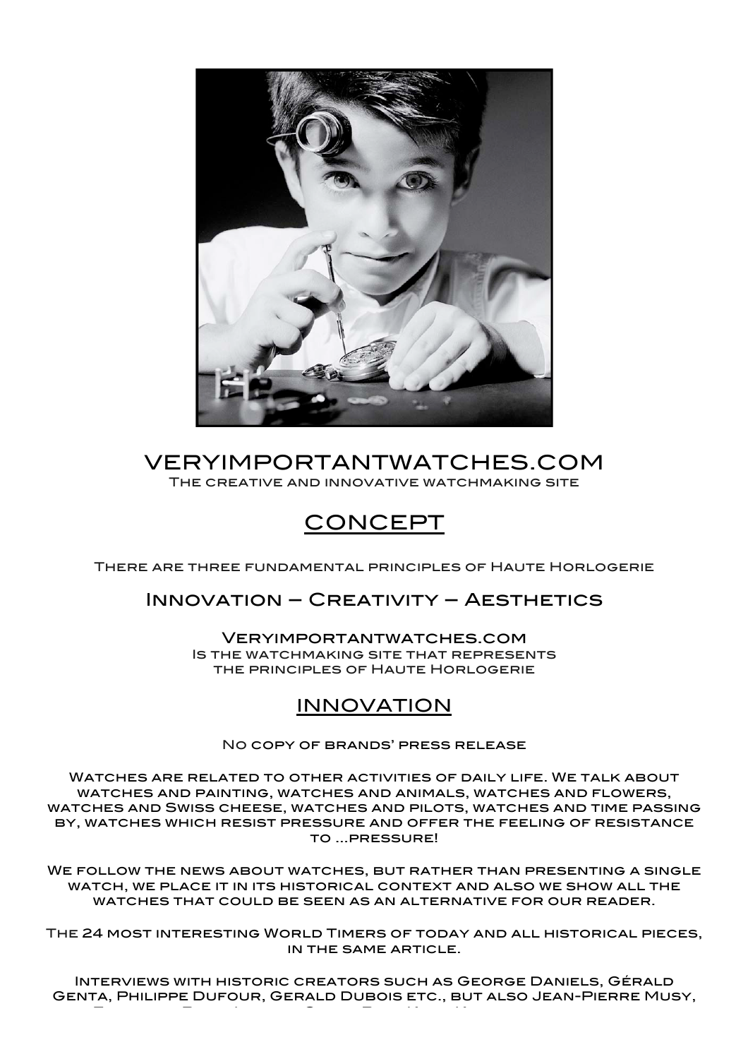

### VERYIMPORTANTWATCHES.COM The creative and innovative watchmaking site

# CONCEPT

There are three fundamental principles of Haute Horlogerie

### Innovation – Creativity – Aesthetics

Veryimportantwatches.com Is the watchmaking site that represents the principles of Haute Horlogerie

# INNOVATION

No copy of brands' press release

Watches are related to other activities of daily life. We talk about watches and painting, watches and animals, watches and flowers, watches and Swiss cheese, watches and pilots, watches and time passing by, watches which resist pressure and offer the feeling of resistance to …pressure!

We follow the news about watches, but rather than presenting a single WATCH, WE PLACE IT IN ITS HISTORICAL CONTEXT AND ALSO WE SHOW ALL THE watches that could be seen as an alternative for our reader.

The 24 most interesting World Timers of today and all historical pieces, in the same article.

Interviews with historic creators such as George Daniels, Gérald Genta, Philippe Dufour, Gerald Dubois etc., but also Jean-Pierre Musy, François-Paul Journe, Giulio Papi, Kurt Klaus, etc. historians,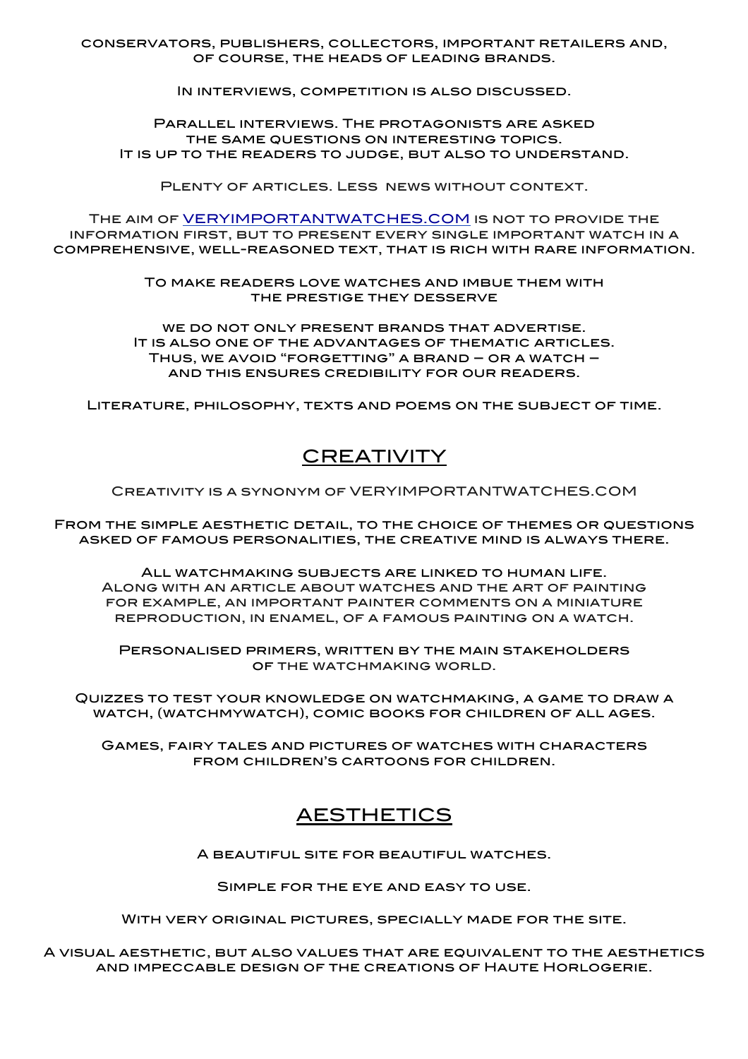conservators, publishers, collectors, important retailers and, of course, the heads of leading brands.

IN INTERVIEWS, COMPETITION IS ALSO DISCUSSED.

Parallel interviews. The protagonists are asked the same questions on interesting topics. It is up to the readers to judge, but also to understand.

Plenty of articles. Less news without context.

The aim of VERYIMPORTANTWATCHES.COM is not to provide the information first, but to present every single important watch in a comprehensive, well-reasoned text, that is rich with rare information.

> To make readers love watches and imbue them with the prestige they desserve

we do not only present brands that advertise. It is also one of the advantages of thematic articles. Thus, we avoid "forgetting" a brand – or a watch – and this ensures credibility for our readers.

Literature, philosophy, texts and poems on the subject of time.

# **CREATIVITY**

Creativity is a synonym of VERYIMPORTANTWATCHES.COM

From the simple aesthetic detail, to the choice of themes or questions asked of famous personalities, the creative mind is always there.

All watchmaking subjects are linked to human life. Along with an article about watches and the art of painting for example, an important painter comments on a miniature reproduction, in enamel, of a famous painting on a watch.

Personalised primers, written by the main stakeholders of the watchmaking world.

Quizzes to test your knowledge on watchmaking, a game to draw a watch, (watchmywatch), comic books for children of all ages.

Games, fairy tales and pictures of watches with characters from children's cartoons for children.

## AESTHETICS

A beautiful site for beautiful watches.

Simple for the eye and easy to use.

With very original pictures, specially made for the site.

A visual aesthetic, but also values that are equivalent to the aesthetics and impeccable design of the creations of Haute Horlogerie.